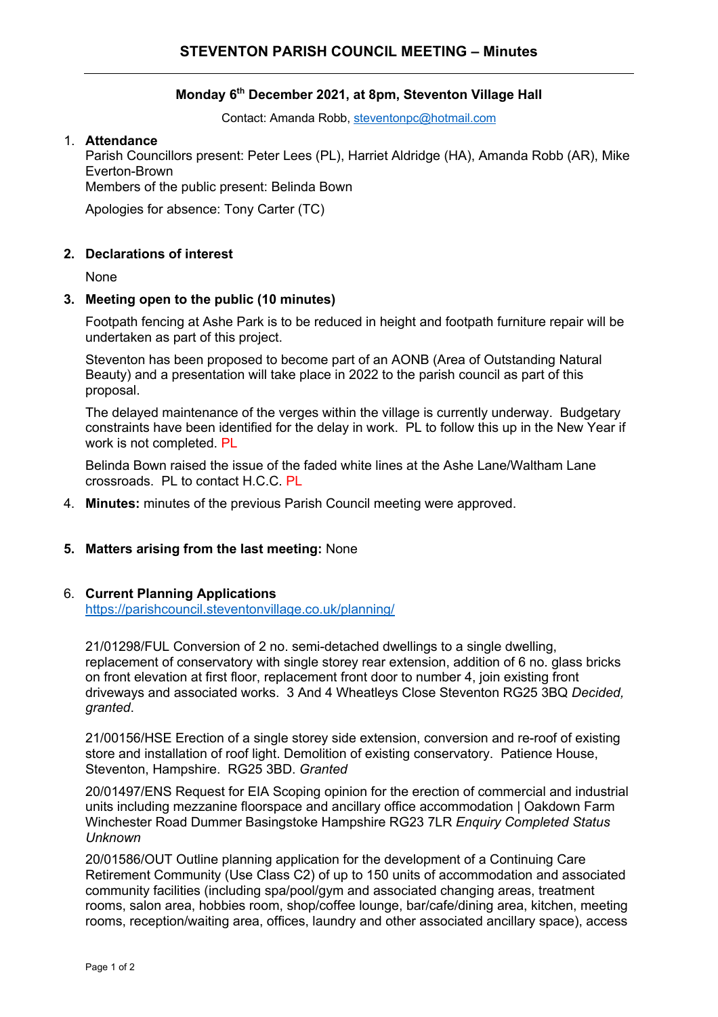# **Monday 6th December 2021, at 8pm, Steventon Village Hall**

Contact: Amanda Robb, steventonpc@hotmail.com

#### 1. **Attendance**

Parish Councillors present: Peter Lees (PL), Harriet Aldridge (HA), Amanda Robb (AR), Mike Everton-Brown

Members of the public present: Belinda Bown

Apologies for absence: Tony Carter (TC)

# **2. Declarations of interest**

None

### **3. Meeting open to the public (10 minutes)**

Footpath fencing at Ashe Park is to be reduced in height and footpath furniture repair will be undertaken as part of this project.

Steventon has been proposed to become part of an AONB (Area of Outstanding Natural Beauty) and a presentation will take place in 2022 to the parish council as part of this proposal.

The delayed maintenance of the verges within the village is currently underway. Budgetary constraints have been identified for the delay in work. PL to follow this up in the New Year if work is not completed. PL

Belinda Bown raised the issue of the faded white lines at the Ashe Lane/Waltham Lane crossroads. PL to contact H.C.C. PL

4. **Minutes:** minutes of the previous Parish Council meeting were approved.

# **5. Matters arising from the last meeting:** None

# 6. **Current Planning Applications**

https://parishcouncil.steventonvillage.co.uk/planning/

21/01298/FUL Conversion of 2 no. semi-detached dwellings to a single dwelling, replacement of conservatory with single storey rear extension, addition of 6 no. glass bricks on front elevation at first floor, replacement front door to number 4, join existing front driveways and associated works. 3 And 4 Wheatleys Close Steventon RG25 3BQ *Decided, granted*.

21/00156/HSE Erection of a single storey side extension, conversion and re-roof of existing store and installation of roof light. Demolition of existing conservatory. Patience House, Steventon, Hampshire. RG25 3BD. *Granted*

20/01497/ENS Request for EIA Scoping opinion for the erection of commercial and industrial units including mezzanine floorspace and ancillary office accommodation | Oakdown Farm Winchester Road Dummer Basingstoke Hampshire RG23 7LR *Enquiry Completed Status Unknown*

20/01586/OUT Outline planning application for the development of a Continuing Care Retirement Community (Use Class C2) of up to 150 units of accommodation and associated community facilities (including spa/pool/gym and associated changing areas, treatment rooms, salon area, hobbies room, shop/coffee lounge, bar/cafe/dining area, kitchen, meeting rooms, reception/waiting area, offices, laundry and other associated ancillary space), access